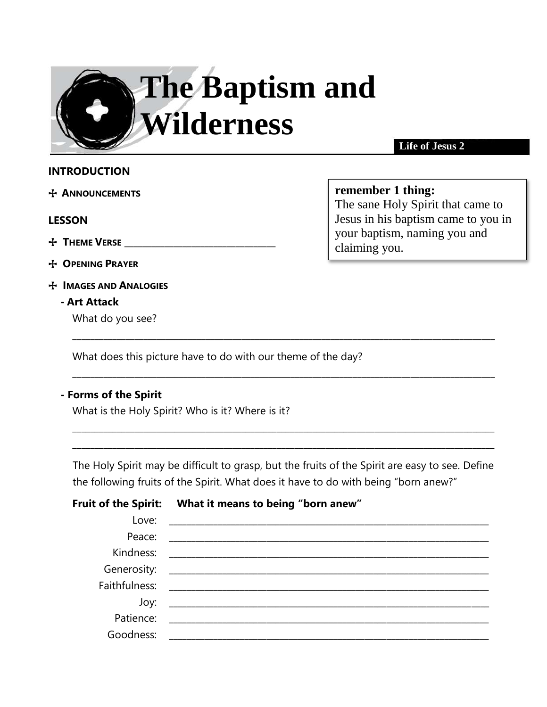

**Life of Jesus 2**

The sane Holy Spirit that came to Jesus in his baptism came to you in

your baptism, naming you and

**remember 1 thing:**

claiming you.

### **INTRODUCTION**

+ **ANNOUNCEMENTS** 

#### **LESSON**

- $+$  **THEME VERSE**
- + **OPENING PRAYER**
- + **IMAGES AND ANALOGIES**
	- **- Art Attack**

What do you see?

What does this picture have to do with our theme of the day?

### **- Forms of the Spirit**

What is the Holy Spirit? Who is it? Where is it?

The Holy Spirit may be difficult to grasp, but the fruits of the Spirit are easy to see. Define the following fruits of the Spirit. What does it have to do with being "born anew?"

\_\_\_\_\_\_\_\_\_\_\_\_\_\_\_\_\_\_\_\_\_\_\_\_\_\_\_\_\_\_\_\_\_\_\_\_\_\_\_\_\_\_\_\_\_\_\_\_\_\_\_\_\_\_\_\_\_\_\_\_\_\_\_\_\_\_\_\_\_\_\_\_\_\_\_\_\_\_\_\_\_\_\_\_\_\_\_\_\_\_\_\_\_\_\_ \_\_\_\_\_\_\_\_\_\_\_\_\_\_\_\_\_\_\_\_\_\_\_\_\_\_\_\_\_\_\_\_\_\_\_\_\_\_\_\_\_\_\_\_\_\_\_\_\_\_\_\_\_\_\_\_\_\_\_\_\_\_\_\_\_\_\_\_\_\_\_\_\_\_\_\_\_\_\_\_\_\_\_\_\_\_\_\_\_\_\_\_\_\_\_

\_\_\_\_\_\_\_\_\_\_\_\_\_\_\_\_\_\_\_\_\_\_\_\_\_\_\_\_\_\_\_\_\_\_\_\_\_\_\_\_\_\_\_\_\_\_\_\_\_\_\_\_\_\_\_\_\_\_\_\_\_\_\_\_\_\_\_\_\_\_\_\_\_\_\_\_\_\_\_\_\_\_\_\_\_\_\_\_\_\_\_\_\_\_\_

\_\_\_\_\_\_\_\_\_\_\_\_\_\_\_\_\_\_\_\_\_\_\_\_\_\_\_\_\_\_\_\_\_\_\_\_\_\_\_\_\_\_\_\_\_\_\_\_\_\_\_\_\_\_\_\_\_\_\_\_\_\_\_\_\_\_\_\_\_\_\_\_\_\_\_\_\_\_\_\_\_\_\_\_\_\_\_\_\_\_\_\_\_\_\_

**Fruit of the Spirit: What it means to being "born anew"**

| Love:     |  |
|-----------|--|
| Peace:    |  |
| Kindness: |  |
|           |  |
|           |  |
| Joy:      |  |
| Patience: |  |
| Goodness: |  |